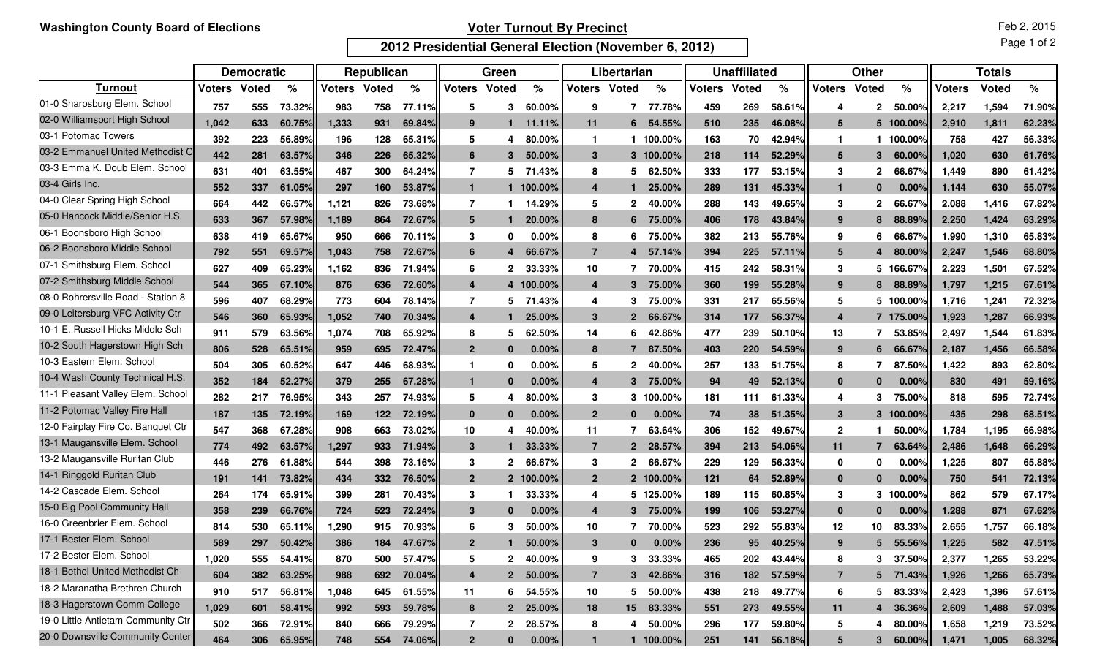## **Voter Turnout By Precinct**

**2012 Presidential General Election (November 6, 2012)**

Page 1 of 2

|                                    | <b>Democratic</b> |              |                    | Republican |              |               | Green          |                |               | Libertarian    |                  |               | <b>Unaffiliated</b> |       |               | <b>Other</b>     |                |               | <b>Totals</b> |              |          |
|------------------------------------|-------------------|--------------|--------------------|------------|--------------|---------------|----------------|----------------|---------------|----------------|------------------|---------------|---------------------|-------|---------------|------------------|----------------|---------------|---------------|--------------|----------|
| Turnout                            | <b>Voters</b>     | <b>Voted</b> | $\frac{9}{6}$      | Voters     | <b>Voted</b> | $\frac{9}{6}$ | <b>Voters</b>  | Voted          | $\frac{9}{6}$ | <b>Voters</b>  | <b>Voted</b>     | $\frac{9}{6}$ | <b>Voters</b>       | Voted | $\frac{9}{6}$ | <b>Voters</b>    | Voted          | $\frac{9}{6}$ | <b>Voters</b> | <b>Voted</b> | <u>%</u> |
| 01-0 Sharpsburg Elem. School       | 757               | 555          | 73.32%             | 983        | 758          | 77.11%        | 5              | 3              | 60.00%        | 9              | 7                | 77.78%        | 459                 | 269   | 58.61%        | 4                | $\mathbf{2}$   | 50.00%        | 2,217         | 1,594        | 71.90%   |
| 02-0 Williamsport High School      | 1.042             | 633          | 60.75%             | 1,333      | 931          | 69.84%        | 9              |                | 11.11%        | 11             | 6                | 54.55%        | 510                 | 235   | 46.08%        | 5                | 5              | 100.00%       | 2,910         | 1,811        | 62.23%   |
| 03-1 Potomac Towers                | 392               | 223          | 56.89%             | 196        | 128          | 65.31%        | 5              | 4              | 80.00%        | -1             |                  | 100.00%       | 163                 | 70    | 42.94%        | -1               |                | 100.00%       | 758           | 427          | 56.33%   |
| 03-2 Emmanuel United Methodist C   | 442               | 281          | 63.57%             | 346        | 226          | 65.32%        | 6              | 3              | 50.00%        | 3              |                  | 3 100.00%     | 218                 | 114   | 52.29%        | 5                | 3              | 60.00%        | 1.020         | 630          | 61.76%   |
| 03-3 Emma K. Doub Elem. School     | 631               | 401          | 63.55%             | 467        | 300          | 64.24%        | $\overline{7}$ | 5              | .43%<br>-71   | 8              | 5                | 62.50%        | 333                 | 177   | 53.15%        | 3                | $\mathbf{2}$   | 66.67%        | 1,449         | 890          | 61.42%   |
| 03-4 Girls Inc.                    | 552               | 337          | 61.05%             | 297        | 160          | 53.87%        | $\mathbf{1}$   |                | 100.00%       | 4              | $\mathbf 1$      | 25,00%        | 289                 | 131   | 45.33%        | $\mathbf{1}$     | $\bf{0}$       | 0.00%         | 1.144         | 630          | 55.07%   |
| 04-0 Clear Spring High School      | 664               | 442          | 66.57%             | 1,121      | 826          | 73.68%        | $\overline{7}$ |                | 14.29%        | 5              | 2                | 40.00%        | 288                 | 143   | 49.65%        | -3               | $\mathbf{2}$   | 66.67%        | 2,088         | 1,416        | 67.82%   |
| 05-0 Hancock Middle/Senior H.S.    | 633               | 367          | 57.98%             | 1,189      | 864          | 72.67%        | 5              |                | 20.00%        | 8              | 6                | 75.00%        | 406                 | 178   | 43.84%        | -9               | 8              | 88.89%        | 2,250         | 1,424        | 63.29%   |
| 06-1 Boonsboro High School         | 638               | 419          | 65.67%             | 950        | 666          | 70.11%        | 3              | 0              | 0.00%         | 8              | 6                | 75.00%        | 382                 | 213   | 55.76%        | 9                | 6              | 66.67%        | 1,990         | 1,310        | 65.83%   |
| 06-2 Boonsboro Middle School       | 792               | 551          | 69.57%             | 1,043      | 758          | 72.67%        | 6              |                | 66.67%        | $\overline{7}$ | $\boldsymbol{4}$ | 57.14%        | 394                 | 225   | 57.11%        | 5                | 4              | 80.00%        | 2,247         | 1,546        | 68.80%   |
| 07-1 Smithsburg Elem. School       | 627               | 409          | 65.23%             | 1,162      | 836          | 71.94%        | 6              | $\mathbf{2}$   | 33.33%        | 10             | 7                | 70.00%        | 415                 | 242   | 58.31%        | 3                | 5              | 166.67%       | 2,223         | 1,501        | 67.52%   |
| 07-2 Smithsburg Middle School      | 544               | 365          | 67.10%             | 876        | 636          | 72.60%        | 4              |                | 4 100.00%     | 4              | 3                | 75.00%        | 360                 | 199   | 55.28%        | 9                | 8              | 88.89%        | 1,797         | 1,215        | 67.61%   |
| 08-0 Rohrersville Road - Station 8 | 596               | 407          | 68.29%             | 773        | 604          | 78.14%        | 7              | 5              | 71.43%        | 4              | 3                | 75.00%        | 331                 | 217   | 65.56%        | 5                | 5              | 100.00%       | 1,716         | 1,241        | 72.32%   |
| 09-0 Leitersburg VFC Activity Ctr  | 546               | 360          | 65.93%             | 1,052      | 740          | 70.34%        | 4              |                | 25,00%        | 3              | $\overline{2}$   | 66.67%        | 314                 | 177   | 56.37%        | $\boldsymbol{4}$ | 7              | 175.00%       | 1.923         | 1,287        | 66.93%   |
| 10-1 E. Russell Hicks Middle Sch   | 911               | 579          | 63.56 <sup>°</sup> | 1,074      | 708          | 65.92%        | 8              | 5              | 62.50%        | 14             | 6                | 42.86%        | 477                 | 239   | 50.10%        | 13               | 7              | 53.85%        | 2,497         | 1,544        | 61.83%   |
| 10-2 South Hagerstown High Sch     | 806               | 528          | 65.51%             | 959        | 695          | 72.47%        | $\overline{2}$ | $\bf{0}$       | 0.00%         | 8              | 7                | 87.50%        | 403                 | 220   | 54.59%        | -9               | 6              | 66.67%        | 2,187         | 1,456        | 66.58%   |
| 10-3 Eastern Elem. School          | 504               | 305          | 60.52%             | 647        | 446          | 68.93%        | 1              | 0              | 0.00%         | 5              | $\overline{2}$   | 40.00%        | 257                 | 133   | 51.75%        | 8                | 7              | 87.50%        | 1,422         | 893          | 62.80%   |
| 10-4 Wash County Technical H.S.    | 352               | 184          | 52.27%             | 379        | 255          | 67.28%        | 1              | $\Omega$       | $0.00\%$      | 4              | $\mathbf{3}$     | 75.00%        | 94                  | 49    | 52.13%        | $\bf{0}$         | $\bf{0}$       | 0.00%         | 830           | 491          | 59.16%   |
| 11-1 Pleasant Valley Elem. School  | 282               | 217          | 76.95%             | 343        | 257          | 74.93%        | 5              | 4              | 80.00%        | 3              |                  | 3 100,00%     | 181                 | 111   | 61.33%        | 4                | 3              | 75.00%        | 818           | 595          | 72.74%   |
| 11-2 Potomac Valley Fire Hall      | 187               | 135          | 72.19%             | 169        | 122          | 72.19%        | $\mathbf{0}$   | $\bf{0}$       | 0.00%         | 2 <sup>2</sup> | $\Omega$         | $0.00\%$      | 74                  | 38    | 51.35%        | 3                | 3              | 100.00%       | 435           | 298          | 68.51%   |
| 12-0 Fairplay Fire Co. Banquet Ctr | 547               | 368          | 67.28%             | 908        | 663          | 73.02%        | 10             | 4              | 40.00%        | 11             | 7                | 63.64%        | 306                 | 152   | 49.67%        | $\overline{2}$   |                | 50.00%        | 1,784         | 1,195        | 66.98%   |
| 13-1 Maugansville Elem. School     | 774               | 492          | 63.57%             | 1,297      | 933          | 71.94%        | 3              |                | 33.33%        | $\overline{7}$ | $\overline{2}$   | 28.57%        | 394                 | 213   | 54.06%        | 11               | $\overline{7}$ | 63.64%        | 2,486         | 1,648        | 66.29%   |
| 13-2 Maugansville Ruritan Club     | 446               | 276          | 61.88%             | 544        | 398          | 73.16%        | 3              | $\mathbf{2}$   | 66.67%        | 3              | $\mathbf{2}$     | 66.67%        | 229                 | 129   | 56.33%        | 0                | 0              | 0.00%         | 1,225         | 807          | 65.88%   |
| 14-1 Ringgold Ruritan Club         | 191               | 141          | 73.82%             | 434        | 332          | 76.50%        | $\overline{2}$ | $\overline{2}$ | 100.00%       | 2 <sup>2</sup> | 2 <sup>1</sup>   | 100.00%       | 121                 | 64    | 52.89%        | $\bf{0}$         | $\bf{0}$       | 0.00%         | 750           | 541          | 72.13%   |
| 14-2 Cascade Elem. School          | 264               | 174          | 65.91%             | 399        | 281          | 70.43%        | 3              |                | 33.33%        | 4              |                  | 5 125.00%     | 189                 | 115   | 60.85%        | 3                | 3              | 100.00%       | 862           | 579          | 67.17%   |
| 15-0 Big Pool Community Hall       | 358               | 239          | 66.76%             | 724        | 523          | 72.24%        | 3              | $\bf{0}$       | 0.00%         | 4              | 3                | 75.00%        | 199                 | 106   | 53.27%        | $\bf{0}$         | $\bf{0}$       | 0.00%         | 1,288         | 871          | 67.62%   |
| 16-0 Greenbrier Elem. School       | 814               | 530          | $65.11^{\circ}$    | 1,290      | 915          | 70.93%        | 6              | 3              | 50.00%        | 10             | 7                | 70.00%        | 523                 | 292   | 55.83%        | 12               | 10             | 83.33%        | 2,655         | 1,757        | 66.18%   |
| 17-1 Bester Elem. School           | 589               | 297          | 50.42%             | 386        | 184          | 47.67%        | $\overline{2}$ |                | 50.00%        | 3              | ∩                | 0.00%         | 236                 | 95    | 40.25%        | <b>9</b>         | 5              | 55.56%        | 1.225         | 582          | 47.51%   |
| 17-2 Bester Elem. School           | 1,020             | 555          | 54.41%             | 870        | 500          | 57.47%        | 5              | $\overline{2}$ | 40.00%        | 9              | 3                | 33.33%        | 465                 | 202   | 43.44%        | 8                | 3              | 37.50%        | 2,377         | 1,265        | 53.22%   |
| 18-1 Bethel United Methodist Ch    | 604               | 382          | 63.25%             | 988        | 692          | 70.04%        | 4              |                | 2 50.00%      | $\overline{7}$ | $3^{\circ}$      | 42.86%        | 316                 | 182   | 57.59%        | 7                | 5              | 71.43%        | 1,926         | 1,266        | 65.73%   |
| 18-2 Maranatha Brethren Church     | 910               | 517          | 56.81%             | 1,048      | 645          | 61.55%        | 11             |                | 6 54.55%      | 10             | 5                | 50.00%        | 438                 | 218   | 49.77%        | 6                | 5              | 83.33%        | 2,423         | 1,396        | 57.61%   |
| 18-3 Hagerstown Comm College       | 1,029             | 601          | 58.41%             | 992        | 593          | 59.78%        | 8              |                | 2 25.00%      | 18             | 15               | 83.33%        | 551                 | 273   | 49.55%        | 11               | 4              | 36.36%        | 2,609         | 1,488        | 57.03%   |
| 19-0 Little Antietam Community Ctr | 502               | 366          | 72.91%             | 840        | 666          | 79.29%        | 7              | $\mathbf{2}$   | 28.57%        | 8              | 4                | 50.00%        | 296                 | 177   | 59.80%        | 5                | 4              | 80.00%        | 1,658         | 1,219        | 73.52%   |
| 20-0 Downsville Community Center   | 464               | 306          | 65.95%             | 748        | 554          | 74.06%        | $2^{\circ}$    | $\mathbf{0}$   | 0.00%         |                |                  | $1 100.00\%$  | 251                 | 141   | 56.18%        | 5                | 3              | $60.00\%$     | 1,471         | 1,005        | 68.32%   |